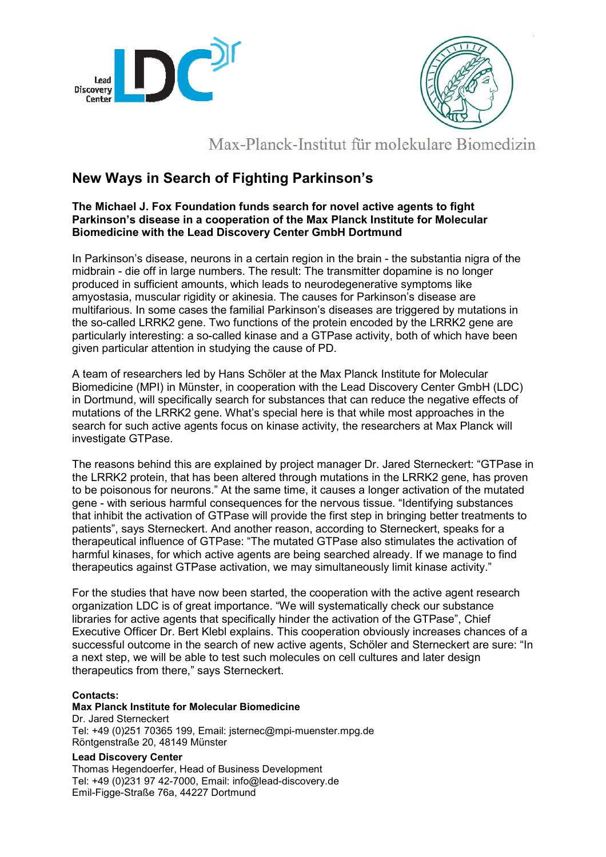



## Max-Planck-Institut für molekulare Biomedizin

### **New Ways in Search of Fighting Parkinson's**

### **The Michael J. Fox Foundation funds search for novel active agents to fight Parkinson's disease in a cooperation of the Max Planck Institute for Molecular Biomedicine with the Lead Discovery Center GmbH Dortmund**

In Parkinson's disease, neurons in a certain region in the brain - the substantia nigra of the midbrain - die off in large numbers. The result: The transmitter dopamine is no longer produced in sufficient amounts, which leads to neurodegenerative symptoms like amyostasia, muscular rigidity or akinesia. The causes for Parkinson's disease are multifarious. In some cases the familial Parkinson's diseases are triggered by mutations in the so-called LRRK2 gene. Two functions of the protein encoded by the LRRK2 gene are particularly interesting: a so-called kinase and a GTPase activity, both of which have been given particular attention in studying the cause of PD.

A team of researchers led by Hans Schöler at the Max Planck Institute for Molecular Biomedicine (MPI) in Münster, in cooperation with the Lead Discovery Center GmbH (LDC) in Dortmund, will specifically search for substances that can reduce the negative effects of mutations of the LRRK2 gene. What's special here is that while most approaches in the search for such active agents focus on kinase activity, the researchers at Max Planck will investigate GTPase.

The reasons behind this are explained by project manager Dr. Jared Sterneckert: "GTPase in the LRRK2 protein, that has been altered through mutations in the LRRK2 gene, has proven to be poisonous for neurons." At the same time, it causes a longer activation of the mutated gene - with serious harmful consequences for the nervous tissue. "Identifying substances that inhibit the activation of GTPase will provide the first step in bringing better treatments to patients", says Sterneckert. And another reason, according to Sterneckert, speaks for a therapeutical influence of GTPase: "The mutated GTPase also stimulates the activation of harmful kinases, for which active agents are being searched already. If we manage to find therapeutics against GTPase activation, we may simultaneously limit kinase activity."

For the studies that have now been started, the cooperation with the active agent research organization LDC is of great importance. "We will systematically check our substance libraries for active agents that specifically hinder the activation of the GTPase", Chief Executive Officer Dr. Bert Klebl explains. This cooperation obviously increases chances of a successful outcome in the search of new active agents, Schöler and Sterneckert are sure: "In a next step, we will be able to test such molecules on cell cultures and later design therapeutics from there," says Sterneckert.

#### **Contacts:**

**Max Planck Institute for Molecular Biomedicine**  Dr. Jared Sterneckert Tel: +49 (0)251 70365 199, Email: jsternec@mpi-muenster.mpg.de Röntgenstraße 20, 48149 Münster

#### **Lead Discovery Center**

Thomas Hegendoerfer, Head of Business Development Tel: +49 (0)231 97 42-7000, Email: info@lead-discovery.de Emil-Figge-Straße 76a, 44227 Dortmund